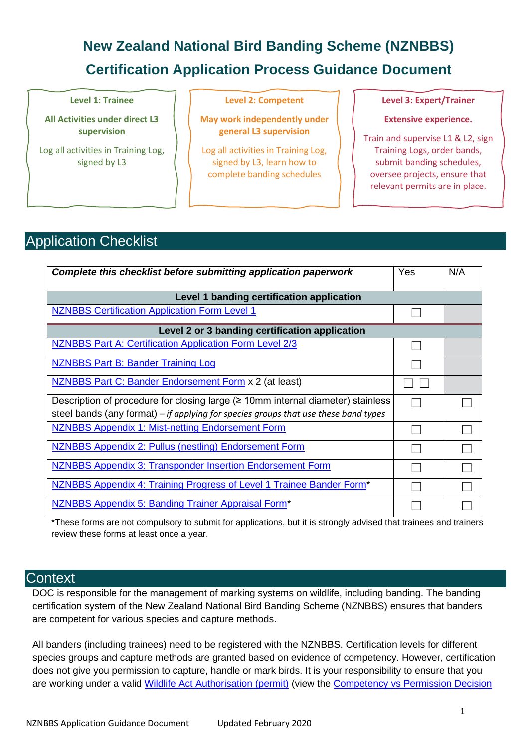# **New Zealand National Bird Banding Scheme (NZNBBS) Certification Application Process Guidance Document**

#### **Level 1: Trainee**

**All Activities under direct L3 supervision**

Log all activities in Training Log, signed by L3

#### **Level 2: Competent**

**May work independently under general L3 supervision**

Log all activities in Training Log, signed by L3, learn how to complete banding schedules

**Level 3: Expert/Trainer**

**Extensive experience.** 

Train and supervise L1 & L2, sign Training Logs, order bands, submit banding schedules, oversee projects, ensure that relevant permits are in place.

## Application Checklist

| Complete this checklist before submitting application paperwork                     | Yes | N/A |
|-------------------------------------------------------------------------------------|-----|-----|
| Level 1 banding certification application                                           |     |     |
| <b>NZNBBS Certification Application Form Level 1</b>                                |     |     |
| Level 2 or 3 banding certification application                                      |     |     |
| NZNBBS Part A: Certification Application Form Level 2/3                             |     |     |
| <b>NZNBBS Part B: Bander Training Log</b>                                           |     |     |
| NZNBBS Part C: Bander Endorsement Form x 2 (at least)                               |     |     |
| Description of procedure for closing large $($ 2 10mm internal diameter) stainless  |     |     |
| steel bands (any format) – if applying for species groups that use these band types |     |     |
| <b>NZNBBS Appendix 1: Mist-netting Endorsement Form</b>                             |     |     |
| NZNBBS Appendix 2: Pullus (nestling) Endorsement Form                               |     |     |
| <b>NZNBBS Appendix 3: Transponder Insertion Endorsement Form</b>                    |     |     |
| NZNBBS Appendix 4: Training Progress of Level 1 Trainee Bander Form*                |     |     |
| <b>NZNBBS Appendix 5: Banding Trainer Appraisal Form*</b>                           |     |     |

\*These forms are not compulsory to submit for applications, but it is strongly advised that trainees and trainers review these forms at least once a year.

## **Context**

DOC is responsible for the management of marking systems on wildlife, including banding. The banding certification system of the New Zealand National Bird Banding Scheme (NZNBBS) ensures that banders are competent for various species and capture methods.

All banders (including trainees) need to be registered with the NZNBBS. Certification levels for different species groups and capture methods are granted based on evidence of competency. However, certification does not give you permission to capture, handle or mark birds. It is your responsibility to ensure that you are working under a valid [Wildlife Act Authorisation \(permit\)](https://www.doc.govt.nz/get-involved/apply-for-permits/interacting-with-wildlife/) (view the [Competency vs Permission Decision](https://www.doc.govt.nz/globalassets/documents/our-work/bird-banding/bird-capture-marking-permission-competency.pdf)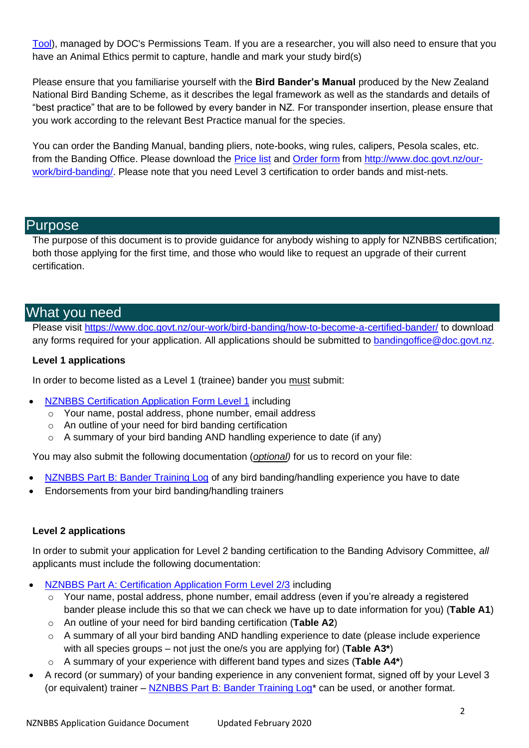[Tool\)](https://www.doc.govt.nz/globalassets/documents/our-work/bird-banding/bird-capture-marking-permission-competency.pdf), managed by DOC's [Permissions Team.](https://www.doc.govt.nz/get-involved/apply-for-permits/contacts/) If you are a researcher, you will also need to ensure that you have an Animal Ethics permit to capture, handle and mark your study bird(s)

Please ensure that you familiarise yourself with the **Bird Bander's Manual** produced by the New Zealand National Bird Banding Scheme, as it describes the legal framework as well as the standards and details of "best practice" that are to be followed by every bander in NZ. For transponder insertion, please ensure that you work according to the relevant Best Practice manual for the species.

You can order the Banding Manual, banding pliers, note-books, wing rules, calipers, Pesola scales, etc. from the Banding Office. Please download the [Price list](https://www.doc.govt.nz/globalassets/documents/our-work/bird-banding/nznbbs-price-list.pdf) and [Order form](https://www.doc.govt.nz/globalassets/documents/our-work/bird-banding/nznbbs-order-form.docx) from [http://www.doc.govt.nz/our](http://www.doc.govt.nz/our-work/bird-banding/)[work/bird-banding/.](http://www.doc.govt.nz/our-work/bird-banding/) Please note that you need Level 3 certification to order bands and mist-nets.

## Purpose

The purpose of this document is to provide guidance for anybody wishing to apply for NZNBBS certification; both those applying for the first time, and those who would like to request an upgrade of their current certification.

## What you need

Please visit<https://www.doc.govt.nz/our-work/bird-banding/how-to-become-a-certified-bander/> to download any forms required for your application. All applications should be submitted to [bandingoffice@doc.govt.nz.](mailto:bandingoffice@doc.govt.nz)

#### **Level 1 applications**

In order to become listed as a Level 1 (trainee) bander you must submit:

- [NZNBBS Certification Application Form Level 1](https://www.doc.govt.nz/globalassets/documents/our-work/bird-banding/nznbbs-certification-application-form-level1.docx) including
	- o Your name, postal address, phone number, email address
	- o An outline of your need for bird banding certification
	- o A summary of your bird banding AND handling experience to date (if any)

You may also submit the following documentation (*optional)* for us to record on your file:

- [NZNBBS Part B: Bander Training Log](https://www.doc.govt.nz/globalassets/documents/conservation/native-animals/birds/bird-banding/nznbbs-training-log.docx) of any bird banding/handling experience you have to date
- Endorsements from your bird banding/handling trainers

#### **Level 2 applications**

In order to submit your application for Level 2 banding certification to the Banding Advisory Committee, *all* applicants must include the following documentation:

- [NZNBBS Part A: Certification Application Form Level 2/3](https://www.doc.govt.nz/globalassets/documents/our-work/bird-banding/nznbbs-certification-application-form-level2-3.docx) including
	- Your name, postal address, phone number, email address (even if you're already a registered bander please include this so that we can check we have up to date information for you) (**Table A1**)
	- o An outline of your need for bird banding certification (**Table A2**)
	- o A summary of all your bird banding AND handling experience to date (please include experience with all species groups – not just the one/s you are applying for) (**Table A3\***)
	- o A summary of your experience with different band types and sizes (**Table A4\***)
- A record (or summary) of your banding experience in any convenient format, signed off by your Level 3 (or equivalent) trainer – NZNBBS Part B: Bander Training Log<sup>\*</sup> can be used, or another format.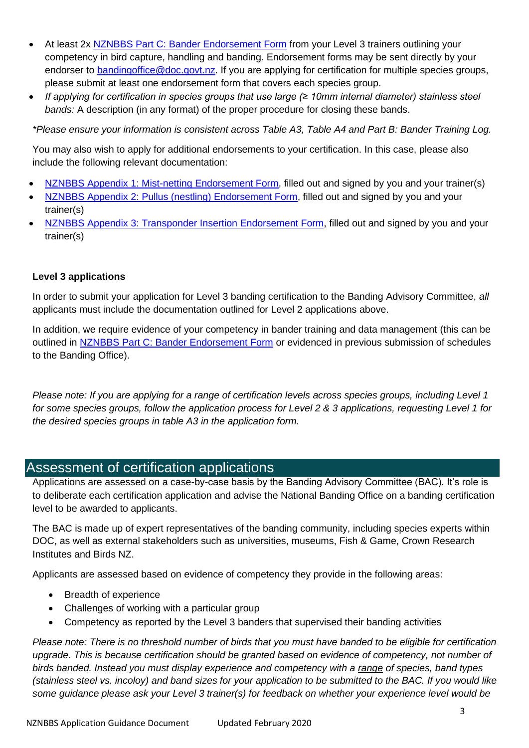- At least 2x [NZNBBS Part C: Bander Endorsement Form](https://www.doc.govt.nz/globalassets/documents/our-work/bird-banding/nznbbs-bander-endorsement-form.docx) from your Level 3 trainers outlining your competency in bird capture, handling and banding. Endorsement forms may be sent directly by your endorser to [bandingoffice@doc.govt.nz.](mailto:bandingoffice@doc.govt.nz) If you are applying for certification for multiple species groups, please submit at least one endorsement form that covers each species group.
- *If applying for certification in species groups that use large (≥ 10mm internal diameter) stainless steel bands:* A description (in any format) of the proper procedure for closing these bands.

*\*Please ensure your information is consistent across Table A3, Table A4 and Part B: Bander Training Log.*

You may also wish to apply for additional endorsements to your certification. In this case, please also include the following relevant documentation:

- [NZNBBS Appendix 1: Mist-netting Endorsement Form,](https://www.doc.govt.nz/globalassets/documents/conservation/native-animals/birds/bird-banding/nznbbs-mist-netting-endorsement-application-form.docx) filled out and signed by you and your trainer(s)
- [NZNBBS Appendix 2: Pullus \(nestling\) Endorsement Form,](https://www.doc.govt.nz/globalassets/documents/conservation/native-animals/birds/bird-banding/nznbbs-pullus-nestling-endorsement-application-form.docx) filled out and signed by you and your trainer(s)
- [NZNBBS Appendix 3: Transponder Insertion Endorsement Form,](https://www.doc.govt.nz/globalassets/documents/conservation/native-animals/birds/bird-banding/nznbbs-transponder-insertion-endorsement-application-apr2018.docx) filled out and signed by you and your trainer(s)

#### **Level 3 applications**

In order to submit your application for Level 3 banding certification to the Banding Advisory Committee, *all* applicants must include the documentation outlined for Level 2 applications above.

In addition, we require evidence of your competency in bander training and data management (this can be outlined in [NZNBBS Part C: Bander Endorsement Form](https://www.doc.govt.nz/globalassets/documents/our-work/bird-banding/nznbbs-bander-endorsement-form.docx) or evidenced in previous submission of schedules to the Banding Office).

*Please note: If you are applying for a range of certification levels across species groups, including Level 1 for some species groups, follow the application process for Level 2 & 3 applications, requesting Level 1 for the desired species groups in table A3 in the application form.*

## Assessment of certification applications

Applications are assessed on a case-by-case basis by the Banding Advisory Committee (BAC). It's role is to deliberate each certification application and advise the National Banding Office on a banding certification level to be awarded to applicants.

The BAC is made up of expert representatives of the banding community, including species experts within DOC, as well as external stakeholders such as universities, museums, Fish & Game, Crown Research Institutes and Birds NZ.

Applicants are assessed based on evidence of competency they provide in the following areas:

- Breadth of experience
- Challenges of working with a particular group
- Competency as reported by the Level 3 banders that supervised their banding activities

*Please note: There is no threshold number of birds that you must have banded to be eligible for certification upgrade. This is because certification should be granted based on evidence of competency, not number of birds banded. Instead you must display experience and competency with a range of species, band types (stainless steel vs. incoloy) and band sizes for your application to be submitted to the BAC. If you would like some guidance please ask your Level 3 trainer(s) for feedback on whether your experience level would be*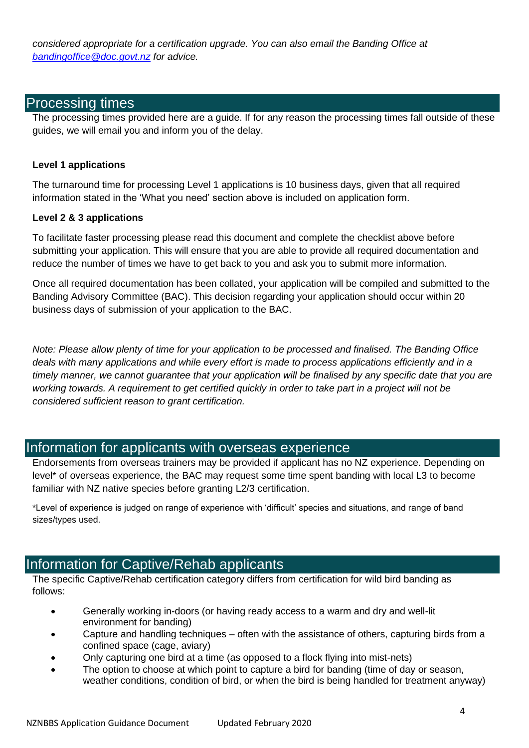*considered appropriate for a certification upgrade. You can also email the Banding Office at [bandingoffice@doc.govt.nz](mailto:bandingoffice@doc.govt.nz) for advice.*

## Processing times

The processing times provided here are a guide. If for any reason the processing times fall outside of these guides, we will email you and inform you of the delay.

#### **Level 1 applications**

The turnaround time for processing Level 1 applications is 10 business days, given that all required information stated in the 'What you need' section above is included on application form.

#### **Level 2 & 3 applications**

To facilitate faster processing please read this document and complete the checklist above before submitting your application. This will ensure that you are able to provide all required documentation and reduce the number of times we have to get back to you and ask you to submit more information.

Once all required documentation has been collated, your application will be compiled and submitted to the Banding Advisory Committee (BAC). This decision regarding your application should occur within 20 business days of submission of your application to the BAC.

*Note: Please allow plenty of time for your application to be processed and finalised. The Banding Office deals with many applications and while every effort is made to process applications efficiently and in a timely manner, we cannot guarantee that your application will be finalised by any specific date that you are working towards. A requirement to get certified quickly in order to take part in a project will not be considered sufficient reason to grant certification.*

## Information for applicants with overseas experience

Endorsements from overseas trainers may be provided if applicant has no NZ experience. Depending on level\* of overseas experience, the BAC may request some time spent banding with local L3 to become familiar with NZ native species before granting L2/3 certification.

\*Level of experience is judged on range of experience with 'difficult' species and situations, and range of band sizes/types used.

## Information for Captive/Rehab applicants

The specific Captive/Rehab certification category differs from certification for wild bird banding as follows:

- Generally working in-doors (or having ready access to a warm and dry and well-lit environment for banding)
- Capture and handling techniques often with the assistance of others, capturing birds from a confined space (cage, aviary)
- Only capturing one bird at a time (as opposed to a flock flying into mist-nets)
- The option to choose at which point to capture a bird for banding (time of day or season, weather conditions, condition of bird, or when the bird is being handled for treatment anyway)